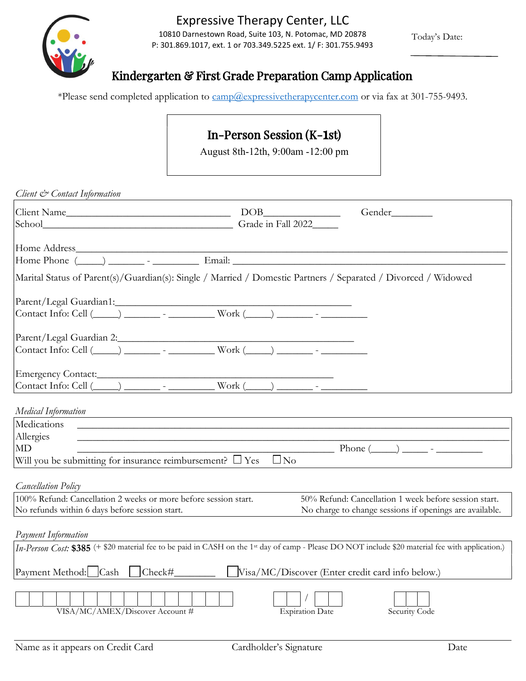

## Expressive Therapy Center, LLC Expressive Therapy Center, LLC

10810 Darnestown Road, Suite 103, N. Potomac, MD 20878 10810 Darnestown Road, Suite 103, N. Potomac, MD 20878 **10810 Darnestown Road, Suite 103, N. Potomac, MD 20878** Today's Date: P: 301.869.1017, ext. 1 or 703.349.5225 ext. 1/ F: 301.755.9493

Today's Date:

## Kindergarten & First Grade Preparation Camp Application

\*Please send completed application to camp@expressivetherapycenter.com or via fax at 301-755-9493. \*Please send completed application to camp@expressivetherapycenter.com or via fax at 301-755-9493.

## In-Person Session (K-1st)

August 8th-12th, 9:00am -12:00 pm

July 18th —July 22nd : <sup>10</sup>am— 1:30 pm

| Client & Contact Information                                                                                   |                                                                                                                      |                                                                                                                                                               |
|----------------------------------------------------------------------------------------------------------------|----------------------------------------------------------------------------------------------------------------------|---------------------------------------------------------------------------------------------------------------------------------------------------------------|
|                                                                                                                |                                                                                                                      | Gender                                                                                                                                                        |
| School Grade in Fall 2022                                                                                      |                                                                                                                      |                                                                                                                                                               |
|                                                                                                                |                                                                                                                      |                                                                                                                                                               |
|                                                                                                                |                                                                                                                      |                                                                                                                                                               |
|                                                                                                                |                                                                                                                      |                                                                                                                                                               |
| Marital Status of Parent(s)/Guardian(s): Single / Married / Domestic Partners / Separated / Divorced / Widowed |                                                                                                                      |                                                                                                                                                               |
|                                                                                                                |                                                                                                                      |                                                                                                                                                               |
|                                                                                                                |                                                                                                                      |                                                                                                                                                               |
|                                                                                                                |                                                                                                                      |                                                                                                                                                               |
|                                                                                                                |                                                                                                                      |                                                                                                                                                               |
| Parent/Legal Guardian 2:<br>Contact Info: Cell (____) ________ - ___________ Work (____) _______ - _________   |                                                                                                                      |                                                                                                                                                               |
|                                                                                                                |                                                                                                                      |                                                                                                                                                               |
|                                                                                                                |                                                                                                                      |                                                                                                                                                               |
|                                                                                                                |                                                                                                                      |                                                                                                                                                               |
|                                                                                                                |                                                                                                                      |                                                                                                                                                               |
| Medical Information                                                                                            | and the control of the control of the control of the control of the control of the control of the control of the     |                                                                                                                                                               |
| Medications                                                                                                    | <u> 1990 - Johann John Harry Harry Harry Harry Harry Harry Harry Harry Harry Harry Harry Harry Harry Harry Harry</u> |                                                                                                                                                               |
| Allergies                                                                                                      | <u> 1989 - Johann John Stone, markin film yn y brenin y brenin y brenin y brenin y brenin y brenin y brenin y br</u> |                                                                                                                                                               |
| <b>MD</b>                                                                                                      |                                                                                                                      | $\frac{1}{2}$ Phone $(\_\_\_\_$ - $\_\_\_\_$                                                                                                                  |
| Will you be submitting for insurance reimbursement? $\Box$ Yes                                                 | $\Box$ No                                                                                                            |                                                                                                                                                               |
|                                                                                                                |                                                                                                                      |                                                                                                                                                               |
| <b>Cancellation Policy</b>                                                                                     |                                                                                                                      |                                                                                                                                                               |
| 100% Refund: Cancellation 2 weeks or more before session start.                                                |                                                                                                                      | 50% Refund: Cancellation 1 week before session start.                                                                                                         |
| No refunds within 6 days before session start.                                                                 |                                                                                                                      | No charge to change sessions if openings are available.                                                                                                       |
| Payment Information                                                                                            |                                                                                                                      |                                                                                                                                                               |
|                                                                                                                |                                                                                                                      | In-Person Cost: \$385 (+ \$20 material fee to be paid in CASH on the 1 <sup>st</sup> day of camp - Please DO NOT include \$20 material fee with application.) |
|                                                                                                                |                                                                                                                      |                                                                                                                                                               |
|                                                                                                                |                                                                                                                      |                                                                                                                                                               |
|                                                                                                                |                                                                                                                      |                                                                                                                                                               |
|                                                                                                                |                                                                                                                      |                                                                                                                                                               |
| VISA/MC/AMEX/Discover Account #                                                                                | <b>Expiration Date</b>                                                                                               | Security Code                                                                                                                                                 |